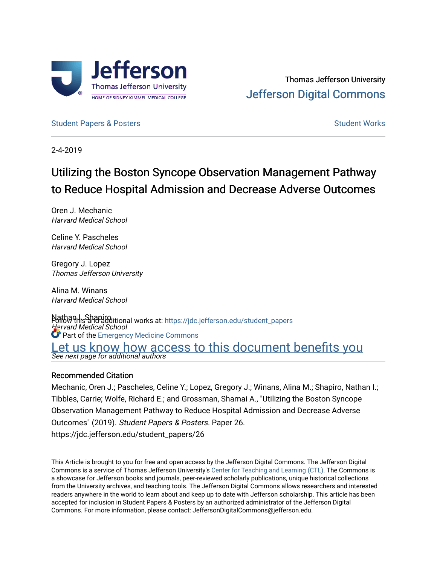

[Student Papers & Posters](https://jdc.jefferson.edu/student_papers) [Student Works](https://jdc.jefferson.edu/student) Student Works Student Works Student Works Student Works Student Works Student Works Student Works Student Works Student Works Student Student Student Student Student Student Student S

2-4-2019

# Utilizing the Boston Syncope Observation Management Pathway to Reduce Hospital Admission and Decrease Adverse Outcomes

Oren J. Mechanic Harvard Medical School

Celine Y. Pascheles Harvard Medical School

Gregory J. Lopez Thomas Jefferson University

Alina M. Winans Harvard Medical School

Nathan I. Shapitolitional works at: https://jdc.jefferson.edu/student\_papers Harvard Medical School Let us know how access to this document benefits you<br>See next page for additional authors **C** Part of the [Emergency Medicine Commons](http://network.bepress.com/hgg/discipline/685?utm_source=jdc.jefferson.edu%2Fstudent_papers%2F26&utm_medium=PDF&utm_campaign=PDFCoverPages)

#### Recommended Citation

Mechanic, Oren J.; Pascheles, Celine Y.; Lopez, Gregory J.; Winans, Alina M.; Shapiro, Nathan I.; Tibbles, Carrie; Wolfe, Richard E.; and Grossman, Shamai A., "Utilizing the Boston Syncope Observation Management Pathway to Reduce Hospital Admission and Decrease Adverse Outcomes" (2019). Student Papers & Posters. Paper 26. https://jdc.jefferson.edu/student\_papers/26

This Article is brought to you for free and open access by the Jefferson Digital Commons. The Jefferson Digital Commons is a service of Thomas Jefferson University's [Center for Teaching and Learning \(CTL\)](http://www.jefferson.edu/university/teaching-learning.html/). The Commons is a showcase for Jefferson books and journals, peer-reviewed scholarly publications, unique historical collections from the University archives, and teaching tools. The Jefferson Digital Commons allows researchers and interested readers anywhere in the world to learn about and keep up to date with Jefferson scholarship. This article has been accepted for inclusion in Student Papers & Posters by an authorized administrator of the Jefferson Digital Commons. For more information, please contact: JeffersonDigitalCommons@jefferson.edu.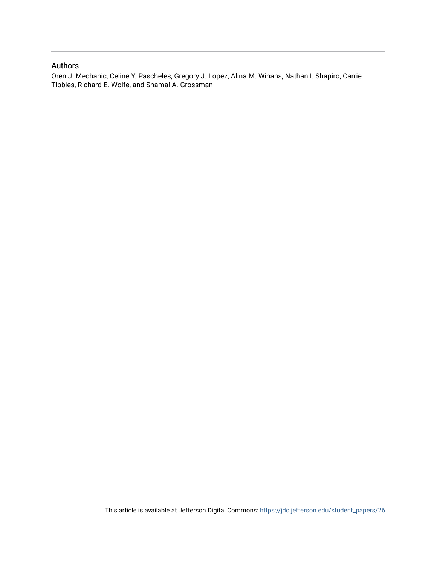#### Authors

Oren J. Mechanic, Celine Y. Pascheles, Gregory J. Lopez, Alina M. Winans, Nathan I. Shapiro, Carrie Tibbles, Richard E. Wolfe, and Shamai A. Grossman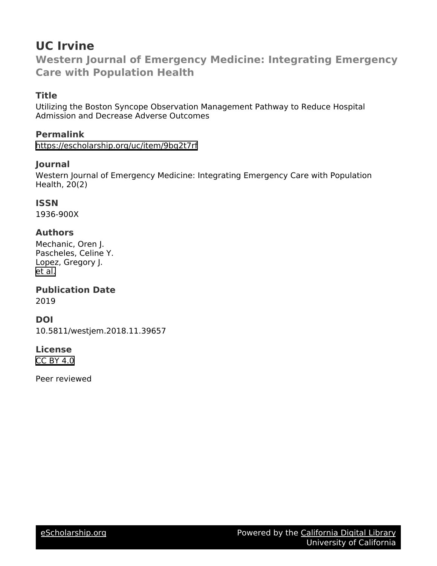## **UC Irvine**

**Western Journal of Emergency Medicine: Integrating Emergency Care with Population Health**

## **Title**

Utilizing the Boston Syncope Observation Management Pathway to Reduce Hospital Admission and Decrease Adverse Outcomes

## **Permalink**

<https://escholarship.org/uc/item/9bq2t7rf>

## **Journal**

Western Journal of Emergency Medicine: Integrating Emergency Care with Population Health, 20(2)

#### **ISSN**

1936-900X

## **Authors**

Mechanic, Oren J. Pascheles, Celine Y. Lopez, Gregory J. [et al.](https://escholarship.org/uc/item/9bq2t7rf#author)

**Publication Date**

2019

## **DOI**

10.5811/westjem.2018.11.39657

## **License**

[CC BY 4.0](https://creativecommons.org/licenses/by/4.0)

Peer reviewed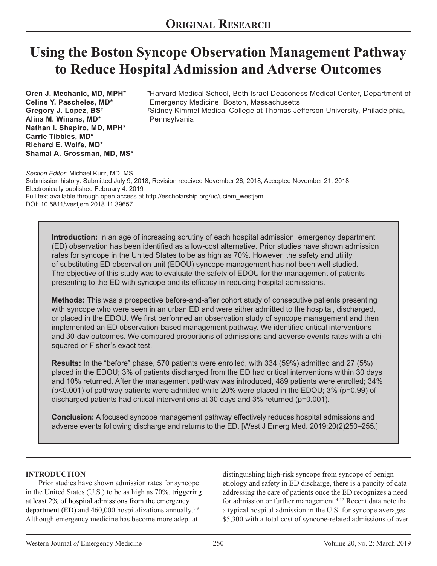# **Using the Boston Syncope Observation Management Pathway to Reduce Hospital Admission and Adverse Outcomes**

**Oren J. Mechanic, MD, MPH\* Celine Y. Pascheles, MD\* Gregory J. Lopez, BS**† **Alina M. Winans, MD\* Nathan I. Shapiro, MD, MPH\* Carrie Tibbles, MD\* Richard E. Wolfe, MD\* Shamai A. Grossman, MD, MS\***

\*Harvard Medical School, Beth Israel Deaconess Medical Center, Department of Emergency Medicine, Boston, Massachusetts Sidney Kimmel Medical College at Thomas Jefferson University, Philadelphia, † Pennsylvania

*Section Editor:* Michael Kurz, MD, MS Submission history: Submitted July 9, 2018; Revision received November 26, 2018; Accepted November 21, 2018 Electronically published February 4. 2019 Full text available through open access at http://escholarship.org/uc/uciem\_westjem DOI: 10.5811/westjem.2018.11.39657

**Introduction:** In an age of increasing scrutiny of each hospital admission, emergency department (ED) observation has been identified as a low-cost alternative. Prior studies have shown admission rates for syncope in the United States to be as high as 70%. However, the safety and utility of substituting ED observation unit (EDOU) syncope management has not been well studied. The objective of this study was to evaluate the safety of EDOU for the management of patients presenting to the ED with syncope and its efficacy in reducing hospital admissions.

**Methods:** This was a prospective before-and-after cohort study of consecutive patients presenting with syncope who were seen in an urban ED and were either admitted to the hospital, discharged, or placed in the EDOU. We first performed an observation study of syncope management and then implemented an ED observation-based management pathway. We identified critical interventions and 30-day outcomes. We compared proportions of admissions and adverse events rates with a chisquared or Fisher's exact test.

**Results:** In the "before" phase, 570 patients were enrolled, with 334 (59%) admitted and 27 (5%) placed in the EDOU; 3% of patients discharged from the ED had critical interventions within 30 days and 10% returned. After the management pathway was introduced, 489 patients were enrolled; 34% (p<0.001) of pathway patients were admitted while 20% were placed in the EDOU; 3% (p=0.99) of discharged patients had critical interventions at 30 days and 3% returned (p=0.001).

**Conclusion:** A focused syncope management pathway effectively reduces hospital admissions and adverse events following discharge and returns to the ED. [West J Emerg Med. 2019;20(2)250–255.]

#### **INTRODUCTION**

Prior studies have shown admission rates for syncope in the United States (U.S.) to be as high as 70%, triggering at least 2% of hospital admissions from the emergency department (ED) and  $460,000$  hospitalizations annually.<sup>1-3</sup> Although emergency medicine has become more adept at

distinguishing high-risk syncope from syncope of benign etiology and safety in ED discharge, there is a paucity of data addressing the care of patients once the ED recognizes a need for admission or further management. $4-17$  Recent data note that a typical hospital admission in the U.S. for syncope averages \$5,300 with a total cost of syncope-related admissions of over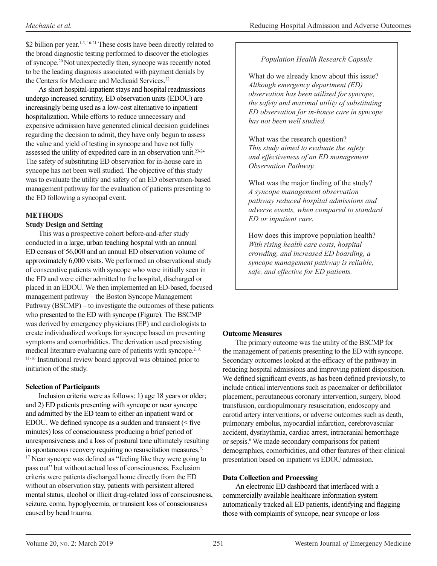\$2 billion per year.<sup>1-3, 16-21</sup> These costs have been directly related to the broad diagnostic testing performed to discover the etiologies of syncope.20 Not unexpectedly then, syncope was recently noted to be the leading diagnosis associated with payment denials by the Centers for Medicare and Medicaid Services.<sup>22</sup>

As short hospital-inpatient stays and hospital readmissions undergo increased scrutiny, ED observation units (EDOU) are increasingly being used as a low-cost alternative to inpatient hospitalization. While efforts to reduce unnecessary and expensive admission have generated clinical decision guidelines regarding the decision to admit, they have only begun to assess the value and yield of testing in syncope and have not fully assessed the utility of expedited care in an observation unit.<sup>23-24</sup> The safety of substituting ED observation for in-house care in syncope has not been well studied. The objective of this study was to evaluate the utility and safety of an ED observation-based management pathway for the evaluation of patients presenting to the ED following a syncopal event.

## **METHODS**

## **Study Design and Setting**

This was a prospective cohort before-and-after study conducted in a large, urban teaching hospital with an annual ED census of 56,000 and an annual ED observation volume of approximately 6,000 visits. We performed an observational study of consecutive patients with syncope who were initially seen in the ED and were either admitted to the hospital, discharged or placed in an EDOU. We then implemented an ED-based, focused management pathway – the Boston Syncope Management Pathway (BSCMP) – to investigate the outcomes of these patients who presented to the ED with syncope (Figure). The BSCMP was derived by emergency physicians (EP) and cardiologists to create individualized workups for syncope based on presenting symptoms and comorbidities. The derivation used preexisting medical literature evaluating care of patients with syncope.<sup>2, 9,</sup> 11-16 Institutional review board approval was obtained prior to initiation of the study.

## **Selection of Participants**

Inclusion criteria were as follows: 1) age 18 years or older; and 2) ED patients presenting with syncope or near syncope and admitted by the ED team to either an inpatient ward or EDOU. We defined syncope as a sudden and transient  $\le$  five minutes) loss of consciousness producing a brief period of unresponsiveness and a loss of postural tone ultimately resulting in spontaneous recovery requiring no resuscitation measures.<sup>9,</sup> <sup>17</sup> Near syncope was defined as "feeling like they were going to pass out" but without actual loss of consciousness. Exclusion criteria were patients discharged home directly from the ED without an observation stay, patients with persistent altered mental status, alcohol or illicit drug-related loss of consciousness, seizure, coma, hypoglycemia, or transient loss of consciousness caused by head trauma.

## *Population Health Research Capsule*

What do we already know about this issue? *Although emergency department (ED) observation has been utilized for syncope, the safety and maximal utility of substituting ED observation for in-house care in syncope has not been well studied.*

What was the research question? *This study aimed to evaluate the safety and effectiveness of an ED management Observation Pathway.*

What was the major finding of the study? *A syncope management observation pathway reduced hospital admissions and adverse events, when compared to standard ED or inpatient care.*

How does this improve population health? *With rising health care costs, hospital crowding, and increased ED boarding, a syncope management pathway is reliable, safe, and effective for ED patients.* 

## **Outcome Measures**

The primary outcome was the utility of the BSCMP for the management of patients presenting to the ED with syncope. Secondary outcomes looked at the efficacy of the pathway in reducing hospital admissions and improving patient disposition. We defined significant events, as has been defined previously, to include critical interventions such as pacemaker or defibrillator placement, percutaneous coronary intervention, surgery, blood transfusion, cardiopulmonary resuscitation, endoscopy and carotid artery interventions, or adverse outcomes such as death, pulmonary embolus, myocardial infarction, cerebrovascular accident, dysrhythmia, cardiac arrest, intracranial hemorrhage or sepsis.<sup>6</sup> We made secondary comparisons for patient demographics, comorbidities, and other features of their clinical presentation based on inpatient vs EDOU admission.

#### **Data Collection and Processing**

An electronic ED dashboard that interfaced with a commercially available healthcare information system automatically tracked all ED patients, identifying and flagging those with complaints of syncope, near syncope or loss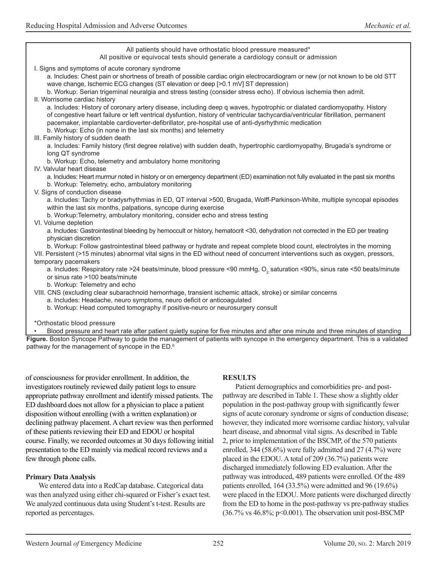All patients should have orthostatic blood pressure measured\* All positive or equivocal tests should generate a cardiology consult or admission I. Signs and symptoms of acute coronary syndrome a. Includes: Chest pain or shortness of breath of possible cardiac origin electrocardiogram or new (or not known to be old STT wave change, Ischemic ECG changes (ST elevation or deep [>0.1 mV] ST depression) b. Workup: Serian trigeminal neuralgia and stress testing (consider stress echo). If obvious ischemia then admit. II. Worrisome cardiac history a. Includes: History of coronary artery disease, including deep q waves, hypotrophic or dialated cardiomyopathy. History of congestive heart failure or left ventrical dysfuntion, history of ventricular tachycardia/ventricular fibrillation, permanent pacemaker, implantable cardioverter-defibrillator, pre-hospital use of anti-dysrhythmic medication b. Workup: Echo (in none in the last six months) and telemetry III. Family history of sudden death a. Includes: Family history (first degree relative) with sudden death, hypertrophic cardiomyopathy, Brugada's syndrome or long QT syndrome b. Workup: Echo, telemetry and ambulatory home monitoring IV. Valvular heart disease a. Includes: Heart murmur noted in history or on emergency department (ED) examination not fully evaluated in the past six months b. Workup: Telemetry, echo, ambulatory monitoring V. Signs of conduction disease a. Includes: Tachy or bradysrhythmias in ED, QT interval >500, Brugada, Wolff-Parkinson-White, multiple syncopal episodes within the last six months, palpations, syncope during exercise b. Workup:Telemetry, ambulatory monitoring, consider echo and stress testing VI. Volume depletion a. Includes: Gastrointestinal bleeding by hemoccult or history, hematocrit <30, dehydration not corrected in the ED per treating physician discretion b. Workup: Follow gastrointestinal bleed pathway or hydrate and repeat complete blood count, electrolytes in the morning VII. Persistent (>15 minutes) abnormal vital signs in the ED without need of concurrent interventions such as oxygen, pressors, temporary pacemakers a. Includes: Respiratory rate >24 beats/minute, blood pressure <90 mmHg,  $\rm O_{2}$  saturation <90%, sinus rate <50 beats/minute or sinus rate >100 beats/minute b. Workup: Telemetry and echo VIII. CNS (excluding clear subarachnoid hemorrhage, transient ischemic attack, stroke) or similar concerns a. Includes: Headache, neuro symptoms, neuro deficit or anticoagulated b. Workup: Head computed tomography if positive-neuro or neurosurgery consult \*Orthostatic blood pressure

• Blood pressure and heart rate after patient quietly supine for five minutes and after one minute and three minutes of standing **Figure.** Boston Syncope Pathway to guide the management of patients with syncope in the emergency department. This is a validated pathway for the management of syncope in the ED.<sup>6</sup>

of consciousness for provider enrollment. In addition, the investigators routinely reviewed daily patient logs to ensure appropriate pathway enrollment and identify missed patients. The ED dashboard does not allow for a physician to place a patient disposition without enrolling (with a written explanation) or declining pathway placement. A chart review was then performed of these patients reviewing their ED and EDOU or hospital course. Finally, we recorded outcomes at 30 days following initial presentation to the ED mainly via medical record reviews and a few through phone calls.

#### **Primary Data Analysis**

We entered data into a RedCap database. Categorical data was then analyzed using either chi-squared or Fisher's exact test. We analyzed continuous data using Student's t-test. Results are reported as percentages.

#### **RESULTS**

Patient demographics and comorbidities pre- and postpathway are described in Table 1. These show a slightly older population in the post-pathway group with significantly fewer signs of acute coronary syndrome or signs of conduction disease; however, they indicated more worrisome cardiac history, valvular heart disease, and abnormal vital signs. As described in Table 2, prior to implementation of the BSCMP, of the 570 patients enrolled, 344 (58.6%) were fully admitted and 27 (4.7%) were placed in the EDOU. A total of 209 (36.7%) patients were discharged immediately following ED evaluation. After the pathway was introduced, 489 patients were enrolled. Of the 489 patients enrolled, 164 (33.5%) were admitted and 96 (19.6%) were placed in the EDOU. More patients were discharged directly from the ED to home in the post-pathway vs pre-pathway studies  $(36.7\% \text{ vs } 46.8\%; \text{ p} < 0.001)$ . The observation unit post-BSCMP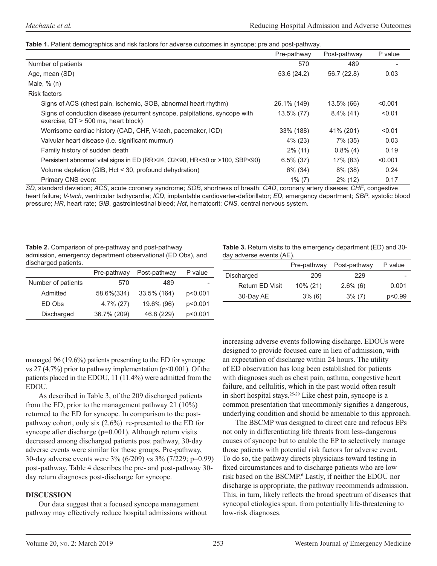#### **Table 1.** Patient demographics and risk factors for adverse outcomes in syncope; pre and post-pathway.

|                                                                                                                     | Pre-pathway  | Post-pathway | P value |
|---------------------------------------------------------------------------------------------------------------------|--------------|--------------|---------|
| Number of patients                                                                                                  | 570          | 489          |         |
| Age, mean (SD)                                                                                                      | 53.6 (24.2)  | 56.7 (22.8)  | 0.03    |
| Male, $% (n)$                                                                                                       |              |              |         |
| <b>Risk factors</b>                                                                                                 |              |              |         |
| Signs of ACS (chest pain, ischemic, SOB, abnormal heart rhythm)                                                     | 26.1% (149)  | 13.5% (66)   | < 0.001 |
| Signs of conduction disease (recurrent syncope, palpitations, syncope with<br>exercise, $QT > 500$ ms, heart block) | 13.5% (77)   | $8.4\%$ (41) | < 0.01  |
| Worrisome cardiac history (CAD, CHF, V-tach, pacemaker, ICD)                                                        | 33% (188)    | 41% (201)    | < 0.01  |
| Valvular heart disease (i.e. significant murmur)                                                                    | $4\%$ (23)   | 7% (35)      | 0.03    |
| Family history of sudden death                                                                                      | $2\%$ (11)   | $0.8\%$ (4)  | 0.19    |
| Persistent abnormal vital signs in ED (RR>24, O2<90, HR<50 or >100, SBP<90)                                         | $6.5\%$ (37) | 17% (83)     | < 0.001 |
| Volume depletion (GIB, Hct < 30, profound dehydration)                                                              | $6\%$ (34)   | $8\%$ (38)   | 0.24    |
| <b>Primary CNS event</b>                                                                                            | $1\%$ (7)    | $2\%$ (12)   | 0.17    |

*SD,* standard deviation; *ACS*, acute coronary syndrome; *SOB*, shortness of breath; *CAD*, coronary artery disease; *CHF*, congestive heart failure; *V-tach*, ventricular tachycardia; *ICD*, implantable cardioverter-defibrillator; *ED*, emergency department; *SBP*, systolic blood pressure; *HR*, heart rate; *GIB*, gastrointestinal bleed; *Hct*, hematocrit; *CNS*, central nervous system.

**Table 2.** Comparison of pre-pathway and post-pathway admission, emergency department observational (ED Obs), and discharged patients.

|                    | Pre-pathway  | Post-pathway | P value |
|--------------------|--------------|--------------|---------|
| Number of patients | 570          | 489          |         |
| Admitted           | 58.6%(334)   | 33.5% (164)  | p<0.001 |
| ED Obs             | $4.7\%$ (27) | 19.6% (96)   | p<0.001 |
| Discharged         | 36.7% (209)  | 46.8 (229)   | p<0.001 |

**Table 3.** Return visits to the emergency department (ED) and 30 day adverse events (AE).

|                 | Pre-pathway | Post-pathway | P value |
|-----------------|-------------|--------------|---------|
| Discharged      | 209         | 229          | -       |
| Return ED Visit | $10\% (21)$ | $2.6\%$ (6)  | 0.001   |
| 30-Day AE       | $3\%$ (6)   | $3\%$ (7)    | p<0.99  |

managed 96 (19.6%) patients presenting to the ED for syncope vs 27 (4.7%) prior to pathway implementation ( $p$ <0.001). Of the patients placed in the EDOU, 11 (11.4%) were admitted from the EDOU.

As described in Table 3, of the 209 discharged patients from the ED, prior to the management pathway 21 (10%) returned to the ED for syncope. In comparison to the postpathway cohort, only six (2.6%) re-presented to the ED for syncope after discharge (p=0.001). Although return visits decreased among discharged patients post pathway, 30-day adverse events were similar for these groups. Pre-pathway, 30-day adverse events were 3% (6/209) vs 3% (7/229; p=0.99) post-pathway. Table 4 describes the pre- and post-pathway 30 day return diagnoses post-discharge for syncope.

#### **DISCUSSION**

Our data suggest that a focused syncope management pathway may effectively reduce hospital admissions without increasing adverse events following discharge. EDOUs were designed to provide focused care in lieu of admission, with an expectation of discharge within 24 hours. The utility of ED observation has long been established for patients with diagnoses such as chest pain, asthma, congestive heart failure, and cellulitis, which in the past would often result in short hospital stays.25-29 Like chest pain, syncope is a common presentation that uncommonly signifies a dangerous, underlying condition and should be amenable to this approach.

The BSCMP was designed to direct care and refocus EPs not only in differentiating life threats from less-dangerous causes of syncope but to enable the EP to selectively manage those patients with potential risk factors for adverse event. To do so, the pathway directs physicians toward testing in fixed circumstances and to discharge patients who are low risk based on the BSCMP.<sup>6</sup> Lastly, if neither the EDOU nor discharge is appropriate, the pathway recommends admission. This, in turn, likely reflects the broad spectrum of diseases that syncopal etiologies span, from potentially life-threatening to low-risk diagnoses.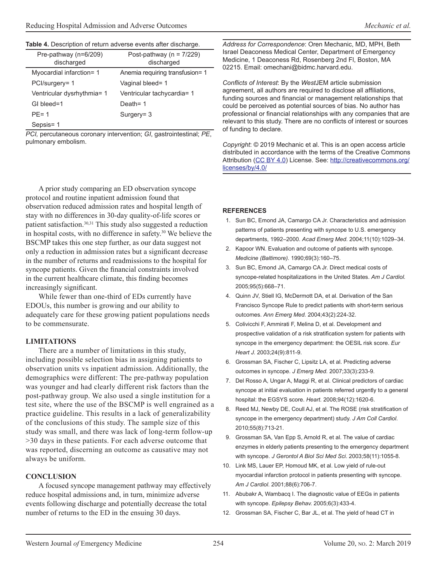| Pre-pathway (n=6/209)<br>discharged | Post-pathway ( $n = 7/229$ )<br>discharged |
|-------------------------------------|--------------------------------------------|
| Myocardial infarction= 1            | Anemia requiring transfusion= 1            |
| PCI/surgery= 1                      | Vaginal bleed= 1                           |
| Ventricular dysrhythmia= 1          | Ventricular tachycardia= 1                 |
| GI bleed=1                          | Death= 1                                   |
| $PF = 1$                            | Surgery = $3$                              |
| Sepsis=1                            |                                            |

*PCI,* percutaneous coronary intervention; *GI*, gastrointestinal; *PE*, pulmonary embolism.

A prior study comparing an ED observation syncope protocol and routine inpatient admission found that observation reduced admission rates and hospital length of stay with no differences in 30-day quality-of-life scores or patient satisfaction.30,31 This study also suggested a reduction in hospital costs, with no difference in safety.30 We believe the BSCMP takes this one step further, as our data suggest not only a reduction in admission rates but a significant decrease in the number of returns and readmissions to the hospital for syncope patients. Given the financial constraints involved in the current healthcare climate, this finding becomes increasingly significant.

While fewer than one-third of EDs currently have EDOUs, this number is growing and our ability to adequately care for these growing patient populations needs to be commensurate.

#### **LIMITATIONS**

There are a number of limitations in this study, including possible selection bias in assigning patients to observation units vs inpatient admission. Additionally, the demographics were different: The pre-pathway population was younger and had clearly different risk factors than the post-pathway group. We also used a single institution for a test site, where the use of the BSCMP is well engrained as a practice guideline. This results in a lack of generalizability of the conclusions of this study. The sample size of this study was small, and there was lack of long-term follow-up >30 days in these patients. For each adverse outcome that was reported, discerning an outcome as causative may not always be uniform.

#### **CONCLUSION**

A focused syncope management pathway may effectively reduce hospital admissions and, in turn, minimize adverse events following discharge and potentially decrease the total number of returns to the ED in the ensuing 30 days.

*Address for Correspondence*: Oren Mechanic, MD, MPH, Beth Israel Deaconess Medical Center, Department of Emergency Medicine, 1 Deaconess Rd, Rosenberg 2nd Fl, Boston, MA 02215. Email: omechani@bidmc.harvard.edu.

*Conflicts of Interest*: By the *West*JEM article submission agreement, all authors are required to disclose all affiliations, funding sources and financial or management relationships that could be perceived as potential sources of bias. No author has professional or financial relationships with any companies that are relevant to this study. There are no conflicts of interest or sources of funding to declare.

*Copyright*: © 2019 Mechanic et al. This is an open access article distributed in accordance with the terms of the Creative Commons Attribution [\(CC BY 4.0](http://creativecommons.org/licenses/by/4.0/)) License. See: [http://creativecommons.org/](http://creativecommons.org/licenses/by/4.0/) [licenses/by/4.0/](http://creativecommons.org/licenses/by/4.0/)

#### **REFERENCES**

- 1. Sun BC, Emond JA, Camargo CA Jr. Characteristics and admission patterns of patients presenting with syncope to U.S. emergency departments, 1992–2000. *Acad Emerg Med*. 2004;11(10):1029–34.
- 2. Kapoor WN. Evaluation and outcome of patients with syncope. *Medicine (Baltimore).* 1990;69(3):160–75.
- 3. Sun BC, Emond JA, Camargo CA Jr. Direct medical costs of syncope-related hospitalizations in the United States. *Am J Cardiol.* 2005;95(5):668–71.
- 4. Quinn JV, Stiell IG, McDermott DA, et al. Derivation of the San Francisco Syncope Rule to predict patients with short-term serious outcomes. *Ann Emerg Med.* 2004;43(2):224-32.
- 5. Colivicchi F, Ammirati F, Melina D, et al. Development and prospective validation of a risk stratification system for patients with syncope in the emergency department: the OESIL risk score. *Eur Heart J.* 2003;24(9):811-9.
- 6. Grossman SA, Fischer C, Lipsitz LA, et al. Predicting adverse outcomes in syncope. *J Emerg Med.* 2007;33(3):233-9.
- 7. Del Rosso A, Ungar A, Maggi R, et al. Clinical predictors of cardiac syncope at initial evaluation in patients referred urgently to a general hospital: the EGSYS score. *Heart.* 2008;94(12):1620-6.
- 8. Reed MJ, Newby DE, Coull AJ, et al. The ROSE (risk stratification of syncope in the emergency department) study. *J Am Coll Cardiol*. 2010;55(8):713-21.
- 9. Grossman SA, Van Epp S, Arnold R, et al. The value of cardiac enzymes in elderly patients presenting to the emergency department with syncope. *J Gerontol A Biol Sci Med Sci*. 2003;58(11):1055-8.
- 10. Link MS, Lauer EP, Homoud MK, et al. Low yield of rule-out myocardial infarction protocol in patients presenting with syncope. *Am J Cardiol*. 2001;88(6):706-7.
- 11. Abubakr A, Wambacq I. The diagnostic value of EEGs in patients with syncope. *Epilepsy Behav.* 2005;6(3):433-4.
- 12. Grossman SA, Fischer C, Bar JL, et al. The yield of head CT in